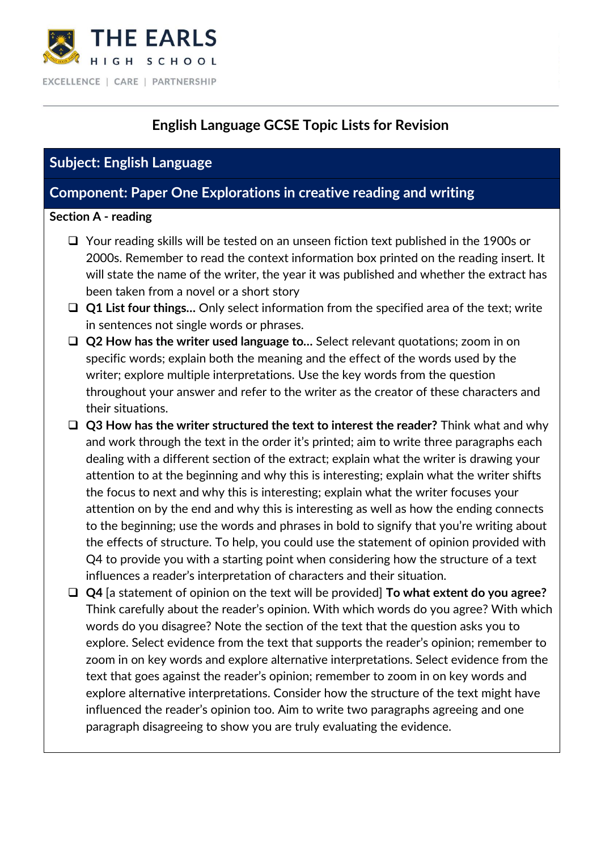

# **English Language GCSE Topic Lists for Revision**

## **Subject: English Language**

## **Component: Paper One Explorations in creative reading and writing**

#### **Section A - reading**

- ❑ Your reading skills will be tested on an unseen fiction text published in the 1900s or 2000s. Remember to read the context information box printed on the reading insert. It will state the name of the writer, the year it was published and whether the extract has been taken from a novel or a short story
- ❑ **Q1 List four things…** Only select information from the specified area of the text; write in sentences not single words or phrases.
- ❑ **Q2 How has the writer used language to…** Select relevant quotations; zoom in on specific words; explain both the meaning and the effect of the words used by the writer; explore multiple interpretations. Use the key words from the question throughout your answer and refer to the writer as the creator of these characters and their situations.
- ❑ **Q3 How has the writer structured the text to interest the reader?** Think what and why and work through the text in the order it's printed; aim to write three paragraphs each dealing with a different section of the extract; explain what the writer is drawing your attention to at the beginning and why this is interesting; explain what the writer shifts the focus to next and why this is interesting; explain what the writer focuses your attention on by the end and why this is interesting as well as how the ending connects to the beginning; use the words and phrases in bold to signify that you're writing about the effects of structure. To help, you could use the statement of opinion provided with Q4 to provide you with a starting point when considering how the structure of a text influences a reader's interpretation of characters and their situation.
- ❑ **Q4** [a statement of opinion on the text will be provided] **To what extent do you agree?** Think carefully about the reader's opinion. With which words do you agree? With which words do you disagree? Note the section of the text that the question asks you to explore. Select evidence from the text that supports the reader's opinion; remember to zoom in on key words and explore alternative interpretations. Select evidence from the text that goes against the reader's opinion; remember to zoom in on key words and explore alternative interpretations. Consider how the structure of the text might have influenced the reader's opinion too. Aim to write two paragraphs agreeing and one paragraph disagreeing to show you are truly evaluating the evidence.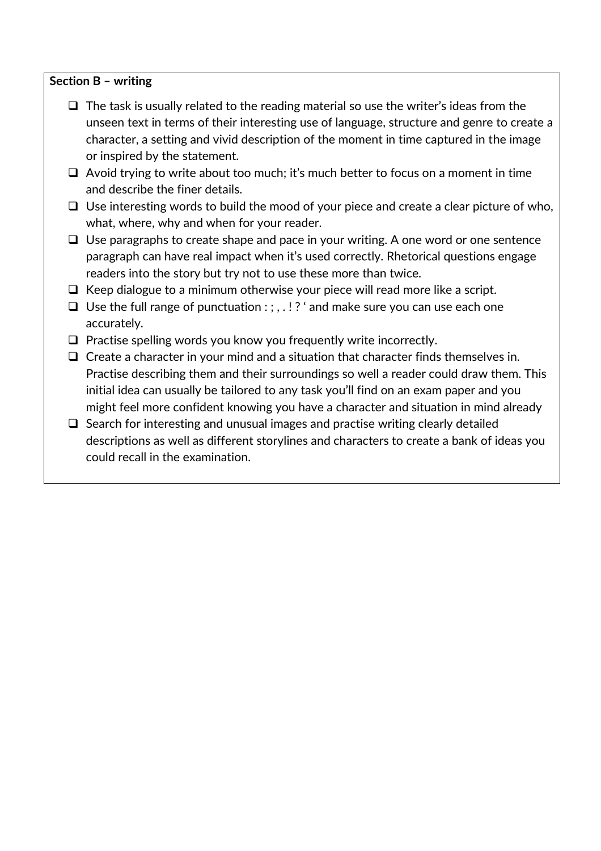#### **Section B – writing**

- $\Box$  The task is usually related to the reading material so use the writer's ideas from the unseen text in terms of their interesting use of language, structure and genre to create a character, a setting and vivid description of the moment in time captured in the image or inspired by the statement.
- ❑ Avoid trying to write about too much; it's much better to focus on a moment in time and describe the finer details.
- ❑ Use interesting words to build the mood of your piece and create a clear picture of who, what, where, why and when for your reader.
- ❑ Use paragraphs to create shape and pace in your writing. A one word or one sentence paragraph can have real impact when it's used correctly. Rhetorical questions engage readers into the story but try not to use these more than twice.
- $\Box$  Keep dialogue to a minimum otherwise your piece will read more like a script.
- ❑ Use the full range of punctuation : ; , . ! ? ' and make sure you can use each one accurately.
- ❑ Practise spelling words you know you frequently write incorrectly.
- ❑ Create a character in your mind and a situation that character finds themselves in. Practise describing them and their surroundings so well a reader could draw them. This initial idea can usually be tailored to any task you'll find on an exam paper and you might feel more confident knowing you have a character and situation in mind already
- ❑ Search for interesting and unusual images and practise writing clearly detailed descriptions as well as different storylines and characters to create a bank of ideas you could recall in the examination.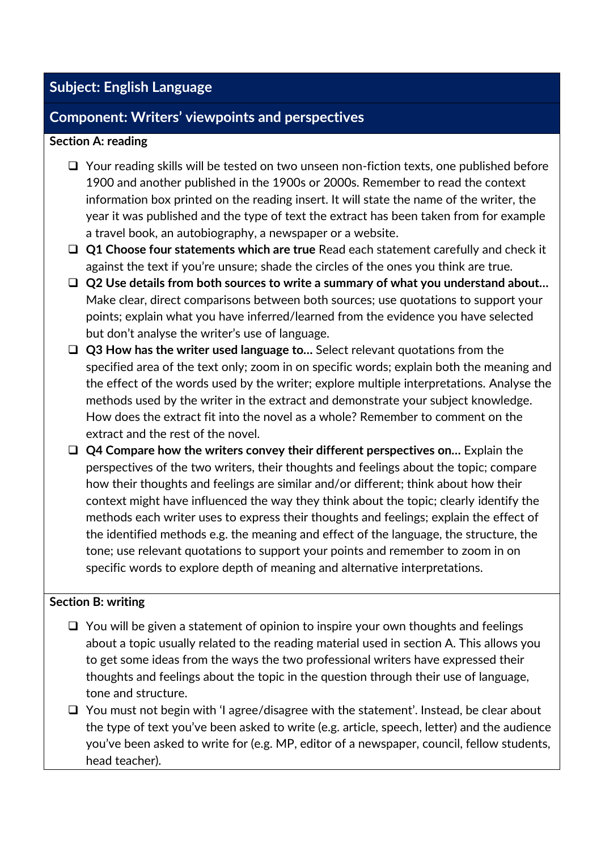# **Subject: English Language**

## **Component: Writers' viewpoints and perspectives**

### **Section A: reading**

- ❑ Your reading skills will be tested on two unseen non-fiction texts, one published before 1900 and another published in the 1900s or 2000s. Remember to read the context information box printed on the reading insert. It will state the name of the writer, the year it was published and the type of text the extract has been taken from for example a travel book, an autobiography, a newspaper or a website.
- ❑ **Q1 Choose four statements which are true** Read each statement carefully and check it against the text if you're unsure; shade the circles of the ones you think are true.
- ❑ **Q2 Use details from both sources to write a summary of what you understand about…**  Make clear, direct comparisons between both sources; use quotations to support your points; explain what you have inferred/learned from the evidence you have selected but don't analyse the writer's use of language.
- ❑ **Q3 How has the writer used language to…** Select relevant quotations from the specified area of the text only; zoom in on specific words; explain both the meaning and the effect of the words used by the writer; explore multiple interpretations. Analyse the methods used by the writer in the extract and demonstrate your subject knowledge. How does the extract fit into the novel as a whole? Remember to comment on the extract and the rest of the novel.
- ❑ **Q4 Compare how the writers convey their different perspectives on…** Explain the perspectives of the two writers, their thoughts and feelings about the topic; compare how their thoughts and feelings are similar and/or different; think about how their context might have influenced the way they think about the topic; clearly identify the methods each writer uses to express their thoughts and feelings; explain the effect of the identified methods e.g. the meaning and effect of the language, the structure, the tone; use relevant quotations to support your points and remember to zoom in on specific words to explore depth of meaning and alternative interpretations.

### **Section B: writing**

- ❑ You will be given a statement of opinion to inspire your own thoughts and feelings about a topic usually related to the reading material used in section A. This allows you to get some ideas from the ways the two professional writers have expressed their thoughts and feelings about the topic in the question through their use of language, tone and structure.
- ❑ You must not begin with 'I agree/disagree with the statement'. Instead, be clear about the type of text you've been asked to write (e.g. article, speech, letter) and the audience you've been asked to write for (e.g. MP, editor of a newspaper, council, fellow students, head teacher).